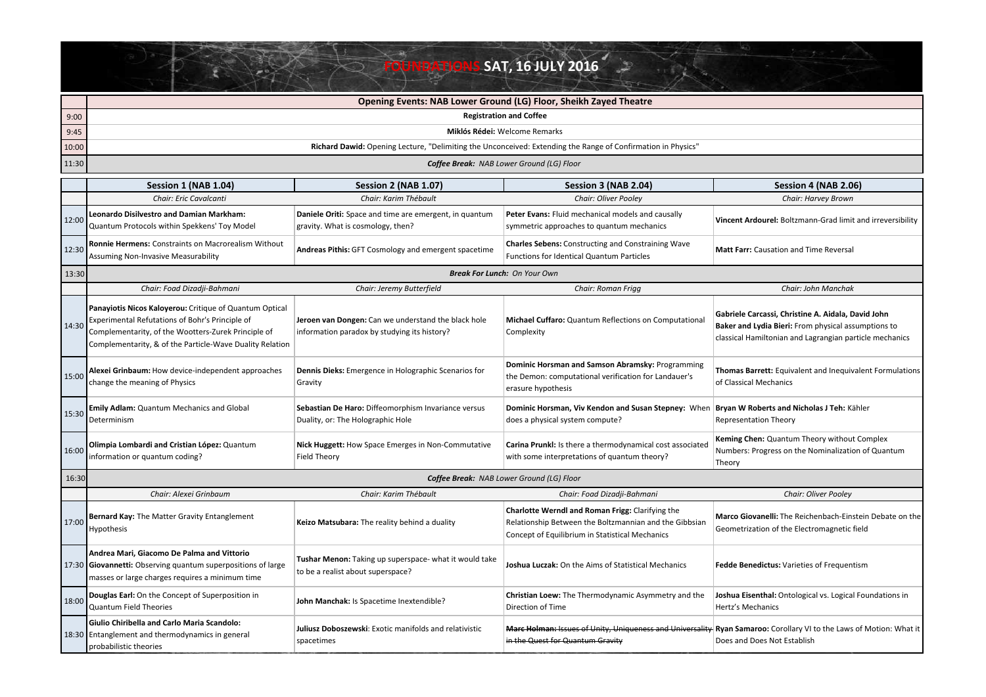## **FOUNDATIONS SAT, 16 JULY 2016**

|       | <b>Opening Events: NAB Lower Ground (LG) Floor, Sheikh Zayed Theatre</b>                                                                                                                                                      |                                                                                                     |                                                                                                                                                               |                                                                                                                                                                      |  |
|-------|-------------------------------------------------------------------------------------------------------------------------------------------------------------------------------------------------------------------------------|-----------------------------------------------------------------------------------------------------|---------------------------------------------------------------------------------------------------------------------------------------------------------------|----------------------------------------------------------------------------------------------------------------------------------------------------------------------|--|
| 9:00  | <b>Registration and Coffee</b>                                                                                                                                                                                                |                                                                                                     |                                                                                                                                                               |                                                                                                                                                                      |  |
| 9:45  | Miklós Rédei: Welcome Remarks                                                                                                                                                                                                 |                                                                                                     |                                                                                                                                                               |                                                                                                                                                                      |  |
| 10:00 | Richard Dawid: Opening Lecture, "Delimiting the Unconceived: Extending the Range of Confirmation in Physics"                                                                                                                  |                                                                                                     |                                                                                                                                                               |                                                                                                                                                                      |  |
| 11:30 | Coffee Break: NAB Lower Ground (LG) Floor                                                                                                                                                                                     |                                                                                                     |                                                                                                                                                               |                                                                                                                                                                      |  |
|       | Session 1 (NAB 1.04)                                                                                                                                                                                                          | <b>Session 2 (NAB 1.07)</b>                                                                         | Session 3 (NAB 2.04)                                                                                                                                          | Session 4 (NAB 2.06)                                                                                                                                                 |  |
|       | Chair: Eric Cavalcanti                                                                                                                                                                                                        | Chair: Karim Thébault                                                                               | Chair: Oliver Pooley                                                                                                                                          | Chair: Harvey Brown                                                                                                                                                  |  |
| 12:00 | <b>Leonardo Disilvestro and Damian Markham:</b><br>Quantum Protocols within Spekkens' Toy Model                                                                                                                               | Daniele Oriti: Space and time are emergent, in quantum<br>gravity. What is cosmology, then?         | Peter Evans: Fluid mechanical models and causally<br>symmetric approaches to quantum mechanics                                                                | Vincent Ardourel: Boltzmann-Grad limit and irreversibility                                                                                                           |  |
| 12:30 | Ronnie Hermens: Constraints on Macrorealism Without<br><b>Assuming Non-Invasive Measurability</b>                                                                                                                             | Andreas Pithis: GFT Cosmology and emergent spacetime                                                | <b>Charles Sebens:</b> Constructing and Constraining Wave<br>Functions for Identical Quantum Particles                                                        | <b>Matt Farr:</b> Causation and Time Reversal                                                                                                                        |  |
| 13:30 | <b>Break For Lunch: On Your Own</b>                                                                                                                                                                                           |                                                                                                     |                                                                                                                                                               |                                                                                                                                                                      |  |
|       | Chair: Foad Dizadji-Bahmani                                                                                                                                                                                                   | Chair: Jeremy Butterfield                                                                           | Chair: Roman Frigg                                                                                                                                            | Chair: John Manchak                                                                                                                                                  |  |
| 14:30 | Panayiotis Nicos Kaloyerou: Critique of Quantum Optical<br>Experimental Refutations of Bohr's Principle of<br>Complementarity, of the Wootters-Zurek Principle of<br>Complementarity, & of the Particle-Wave Duality Relation | Jeroen van Dongen: Can we understand the black hole<br>information paradox by studying its history? | Michael Cuffaro: Quantum Reflections on Computational<br>Complexity                                                                                           | Gabriele Carcassi, Christine A. Aidala, David John<br>Baker and Lydia Bieri: From physical assumptions to<br>classical Hamiltonian and Lagrangian particle mechanics |  |
| 15:00 | Alexei Grinbaum: How device-independent approaches<br>change the meaning of Physics                                                                                                                                           | Dennis Dieks: Emergence in Holographic Scenarios for<br>Gravity                                     | Dominic Horsman and Samson Abramsky: Programming<br>the Demon: computational verification for Landauer's<br>erasure hypothesis                                | Thomas Barrett: Equivalent and Inequivalent Formulations<br>of Classical Mechanics                                                                                   |  |
| 15:30 | <b>Emily Adlam: Quantum Mechanics and Global</b><br>Determinism                                                                                                                                                               | Sebastian De Haro: Diffeomorphism Invariance versus<br>Duality, or: The Holographic Hole            | Dominic Horsman, Viv Kendon and Susan Stepney: When<br>does a physical system compute?                                                                        | Bryan W Roberts and Nicholas J Teh: Kähler<br><b>Representation Theory</b>                                                                                           |  |
| 16:00 | Olimpia Lombardi and Cristian López: Quantum<br>information or quantum coding?                                                                                                                                                | Nick Huggett: How Space Emerges in Non-Commutative<br><b>Field Theory</b>                           | Carina Prunkl: Is there a thermodynamical cost associated<br>with some interpretations of quantum theory?                                                     | Keming Chen: Quantum Theory without Complex<br>Numbers: Progress on the Nominalization of Quantum<br>Theory                                                          |  |
| 16:30 |                                                                                                                                                                                                                               |                                                                                                     | <b>Coffee Break:</b> NAB Lower Ground (LG) Floor                                                                                                              |                                                                                                                                                                      |  |
|       | Chair: Alexei Grinbaum                                                                                                                                                                                                        | Chair: Karim Thébault                                                                               | Chair: Foad Dizadji-Bahmani                                                                                                                                   | <b>Chair: Oliver Pooley</b>                                                                                                                                          |  |
| 17:00 | Bernard Kay: The Matter Gravity Entanglement<br>Hypothesis                                                                                                                                                                    | Keizo Matsubara: The reality behind a duality                                                       | Charlotte Werndl and Roman Frigg: Clarifying the<br>Relationship Between the Boltzmannian and the Gibbsian<br>Concept of Equilibrium in Statistical Mechanics | Marco Giovanelli: The Reichenbach-Einstein Debate on the<br>Geometrization of the Electromagnetic field                                                              |  |
|       | Andrea Mari, Giacomo De Palma and Vittorio<br>17:30 Giovannetti: Observing quantum superpositions of large<br>masses or large charges requires a minimum time                                                                 | Tushar Menon: Taking up superspace- what it would take<br>to be a realist about superspace?         | Joshua Luczak: On the Aims of Statistical Mechanics                                                                                                           | Fedde Benedictus: Varieties of Frequentism                                                                                                                           |  |
| 18:00 | Douglas Earl: On the Concept of Superposition in<br>Quantum Field Theories                                                                                                                                                    | John Manchak: Is Spacetime Inextendible?                                                            | Christian Loew: The Thermodynamic Asymmetry and the<br>Direction of Time                                                                                      | Joshua Eisenthal: Ontological vs. Logical Foundations in<br>Hertz's Mechanics                                                                                        |  |
|       | Giulio Chiribella and Carlo Maria Scandolo:<br>18:30 Entanglement and thermodynamics in general<br>probabilistic theories                                                                                                     | Juliusz Doboszewski: Exotic manifolds and relativistic<br>spacetimes                                | in the Quest for Quantum Gravity                                                                                                                              | Marc Holman: Issues of Unity, Uniqueness and Universality Ryan Samaroo: Corollary VI to the Laws of Motion: What it<br>Does and Does Not Establish                   |  |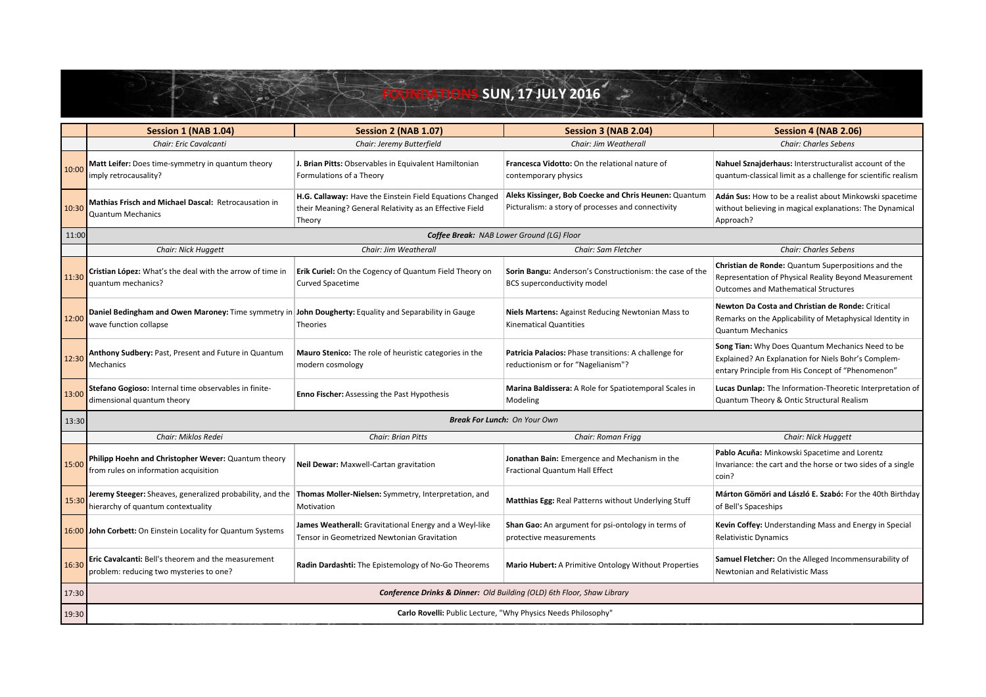## **Session 1** (NAB 1.04) **Session 2** (NAB 1.07) **Session 3** (NAB 2.04) **Session 2** (NAB 2.06) *Chair: Eric Cavalcanti Chair: Jeremy Butterfield Chair: Jim Weatherall Chair: Charles Sebens* 10:00 **Matt Leifer:** Does time-symmetry in quantum theory imply retrocausality? **J. Brian Pitts:** Observables in Equivalent Hamiltonian Formulations of a Theory **Francesca Vidotto:** On the relational nature of contemporary physics **Nahuel Sznajderhaus:** Interstructuralist account of the quantum-classical limit as a challenge for scientific realism 10:30 **Mathias Frisch and Michael Dascal: Retrocausation in** Quantum Mechanics **H.G. Callaway:** Have the Einstein Field Equations Changed their Meaning? General Relativity as an Effective Field Theory **Aleks Kissinger, Bob Coecke and Chris Heunen:** Quantum Picturalism: a story of processes and connectivity Adán Sus: How to be a realist about Minkowski spacetime without believing in magical explanations: The Dynamical Approach? 11:00 *Chair: Nick Huggett Chair: Jim Weatherall Chair: Sam Fletcher Chair: Charles Sebens* 11:30 **Cristian López:** What's the deal with the arrow of time in quantum mechanics? **Erik Curiel:** On the Cogency of Quantum Field Theory on Curved Spacetime **Sorin Bangu:** Anderson's Constructionism: the case of the BCS superconductivity model **Christian de Ronde:** Quantum Superpositions and the Representation of Physical Reality Beyond Measurement Outcomes and Mathematical Structures 12:00 **Daniel Bedingham and Owen Maroney:** Time symmetry in **John Dougherty:** Equality and Separability in Gauge **12:00** wave function collapse Theories **Niels Martens:** Against Reducing Newtonian Mass to Kinematical Quantities **Newton Da Costa and Christian de Ronde: Critical** Remarks on the Applicability of Metaphysical Identity in Quantum Mechanics 12:30 **Anthony Sudbery:** Past, Present and Future in Quantum **Mechanics Mauro Stenico:** The role of heuristic categories in the modern cosmology Patricia Palacios: Phase transitions: A challenge for reductionism or for "Nagelianism"? **Song Tian:** Why Does Quantum Mechanics Need to be Explained? An Explanation for Niels Bohr's Complementary Principle from His Concept of "Phenomenon" **13:00** Stefano Gogioso: Internal time observables in finitedimensional quantum theory **Enno Fischer:** Assessing the Past Hypothesis **Marina Baldissera:** A Role for Spatiotemporal Scales in Modeling **Lucas Dunlap:** The Information-Theoretic Interpretation of Quantum Theory & Ontic Structural Realism 13:30 *Chair: Miklos Redei Chair: Brian Pitts Chair: Roman Frigg Chair: Nick Huggett* 15:00 Philipp Hoehn and Christopher Wever: Quantum theory from rules on information acquisition **Neil Dewar:** Maxwell-Cartan gravitation **Jonathan Bain:** Emergence and Mechanism in the Fractional Quantum Hall Effect Pablo Acuña: Minkowski Spacetime and Lorentz Invariance: the cart and the horse or two sides of a single coin? **15:30** Jeremy Steeger: Sheaves, generalized probability, and the hierarchy of quantum contextuality **Thomas Moller-Nielsen:** Symmetry, Interpretation, and **Matthias Egg:** Real Patterns without Underlying Stuff Motivation **Márton Gömöri and László E. Szabó:** For the 40th Birthday of Bell's Spaceships 16:00 **John Corbett:** On Einstein Locality for Quantum Systems **James Weatherall:** Gravitational Energy and a Weyl-like Tensor in Geometrized Newtonian Gravitation **Shan Gao:** An argument for psi-ontology in terms of protective measurements **Kevin Coffey:** Understanding Mass and Energy in Special Relativistic Dynamics 16:30 **Eric Cavalcanti:** Bell's theorem and the measurement problem: reducing two mysteries to one? Radin Dardashti: The Epistemology of No-Go Theorems | Mario Hubert: A Primitive Ontology Without Properties Samuel Fletcher: On the Alleged Incommensurability of Newtonian and Relativistic Mass 17:30 19:30 **Conference Drinks & Dinner:** Old Building (OLD) 6th Floor, Shaw Library Carlo Rovelli: Public Lecture, "Why Physics Needs Philosophy" *Break For Lunch: On Your Own Coffee Break: NAB Lower Ground (LG) Floor* **FOUN. 17 JULY 2016**